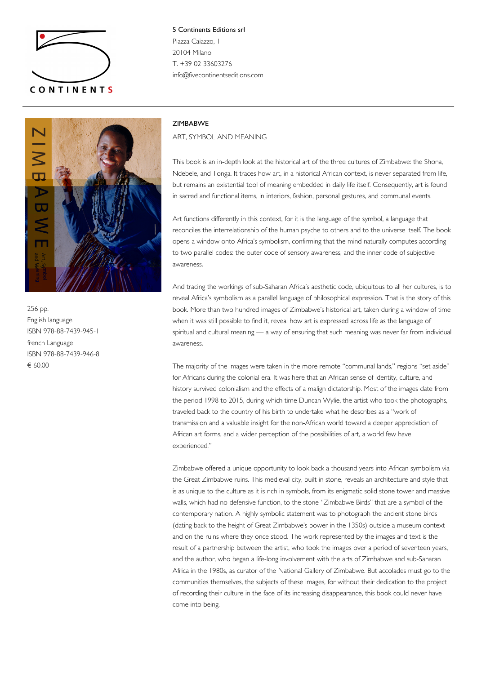

5 Continents Editions srl Piazza Caiazzo, 1 20104 Milano T. +39 02 33603276 info@fivecontinentseditions.com



256 pp. English language ISBN 978-88-7439-945-1 french Language ISBN 978-88-7439-946-8 € 60,00

## ZIMBABWE

ART, SYMBOL AND MEANING

This book is an in-depth look at the historical art of the three cultures of Zimbabwe: the Shona, Ndebele, and Tonga. It traces how art, in a historical African context, is never separated from life, but remains an existential tool of meaning embedded in daily life itself. Consequently, art is found in sacred and functional items, in interiors, fashion, personal gestures, and communal events.

Art functions differently in this context, for it is the language of the symbol, a language that reconciles the interrelationship of the human psyche to others and to the universe itself. The book opens a window onto Africa's symbolism, confirming that the mind naturally computes according to two parallel codes: the outer code of sensory awareness, and the inner code of subjective awareness.

And tracing the workings of sub-Saharan Africa's aesthetic code, ubiquitous to all her cultures, is to reveal Africa's symbolism as a parallel language of philosophical expression. That is the story of this book. More than two hundred images of Zimbabwe's historical art, taken during a window of time when it was still possible to find it, reveal how art is expressed across life as the language of spiritual and cultural meaning — a way of ensuring that such meaning was never far from individual awareness.

The majority of the images were taken in the more remote "communal lands," regions "set aside" for Africans during the colonial era. It was here that an African sense of identity, culture, and history survived colonialism and the effects of a malign dictatorship. Most of the images date from the period 1998 to 2015, during which time Duncan Wylie, the artist who took the photographs, traveled back to the country of his birth to undertake what he describes as a "work of transmission and a valuable insight for the non-African world toward a deeper appreciation of African art forms, and a wider perception of the possibilities of art, a world few have experienced."

Zimbabwe offered a unique opportunity to look back a thousand years into African symbolism via the Great Zimbabwe ruins. This medieval city, built in stone, reveals an architecture and style that is as unique to the culture as it is rich in symbols, from its enigmatic solid stone tower and massive walls, which had no defensive function, to the stone "Zimbabwe Birds" that are a symbol of the contemporary nation. A highly symbolic statement was to photograph the ancient stone birds (dating back to the height of Great Zimbabwe's power in the 1350s) outside a museum context and on the ruins where they once stood. The work represented by the images and text is the result of a partnership between the artist, who took the images over a period of seventeen years, and the author, who began a life-long involvement with the arts of Zimbabwe and sub-Saharan Africa in the 1980s, as curator of the National Gallery of Zimbabwe. But accolades must go to the communities themselves, the subjects of these images, for without their dedication to the project of recording their culture in the face of its increasing disappearance, this book could never have come into being.